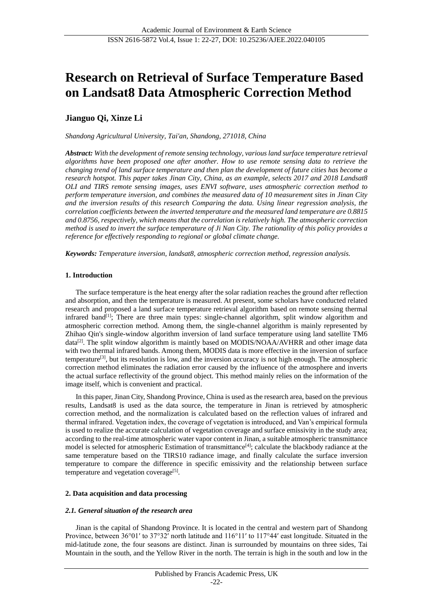# **Research on Retrieval of Surface Temperature Based on Landsat8 Data Atmospheric Correction Method**

# **Jianguo Qi, Xinze Li**

*Shandong Agricultural University, Tai'an, Shandong, 271018, China*

*Abstract: With the development of remote sensing technology, various land surface temperature retrieval algorithms have been proposed one after another. How to use remote sensing data to retrieve the changing trend of land surface temperature and then plan the development of future cities has become a research hotspot. This paper takes Jinan City, China, as an example, selects 2017 and 2018 Landsat8 OLI and TIRS remote sensing images, uses ENVI software, uses atmospheric correction method to perform temperature inversion, and combines the measured data of 10 measurement sites in Jinan City and the inversion results of this research Comparing the data. Using linear regression analysis, the correlation coefficients between the inverted temperature and the measured land temperature are 0.8815 and 0.8756, respectively, which means that the correlation is relatively high. The atmospheric correction method is used to invert the surface temperature of Ji Nan City. The rationality of this policy provides a reference for effectively responding to regional or global climate change.*

*Keywords: Temperature inversion, landsat8, atmospheric correction method, regression analysis.*

## **1. Introduction**

The surface temperature is the heat energy after the solar radiation reaches the ground after reflection and absorption, and then the temperature is measured. At present, some scholars have conducted related research and proposed a land surface temperature retrieval algorithm based on remote sensing thermal infrared band<sup>[1]</sup>; There are three main types: single-channel algorithm, split window algorithm and atmospheric correction method. Among them, the single-channel algorithm is mainly represented by Zhihao Qin's single-window algorithm inversion of land surface temperature using land satellite TM6  $data^{[2]}$ . The split window algorithm is maintly based on MODIS/NOAA/AVHRR and other image data with two thermal infrared bands. Among them, MODIS data is more effective in the inversion of surface temperature<sup>[3]</sup>, but its resolution is low, and the inversion accuracy is not high enough. The atmospheric correction method eliminates the radiation error caused by the influence of the atmosphere and inverts the actual surface reflectivity of the ground object. This method mainly relies on the information of the image itself, which is convenient and practical.

In this paper, Jinan City, Shandong Province, China is used as the research area, based on the previous results, Landsat8 is used as the data source, the temperature in Jinan is retrieved by atmospheric correction method, and the normalization is calculated based on the reflection values of infrared and thermal infrared. Vegetation index, the coverage of vegetation is introduced, and Van's empirical formula is used to realize the accurate calculation of vegetation coverage and surface emissivity in the study area; according to the real-time atmospheric water vapor content in Jinan, a suitable atmospheric transmittance model is selected for atmospheric Estimation of transmittance<sup>[4]</sup>; calculate the blackbody radiance at the same temperature based on the TIRS10 radiance image, and finally calculate the surface inversion temperature to compare the difference in specific emissivity and the relationship between surface temperature and vegetation coverage<sup>[5]</sup>.

## **2. Data acquisition and data processing**

## *2.1. General situation of the research area*

Jinan is the capital of Shandong Province. It is located in the central and western part of Shandong Province, between 36°01′ to 37°32′ north latitude and 116°11′ to 117°44′ east longitude. Situated in the mid-latitude zone, the four seasons are distinct. Jinan is surrounded by mountains on three sides, Tai Mountain in the south, and the Yellow River in the north. The terrain is high in the south and low in the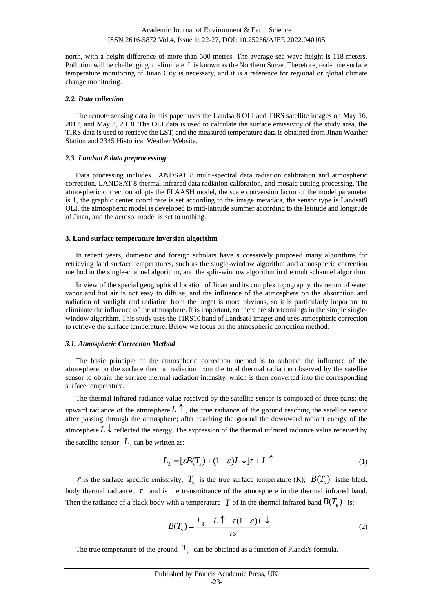north, with a height difference of more than 500 meters. The average sea wave height is 118 meters. Pollution will be challenging to eliminate. It is known as the Northern Stove. Therefore, real-time surface temperature monitoring of Jinan City is necessary, and it is a reference for regional or global climate change monitoring.

## *2.2. Data collection*

The remote sensing data in this paper uses the Landsat8 OLI and TIRS satellite images on May 16, 2017, and May 3, 2018. The OLI data is used to calculate the surface emissivity of the study area, the TIRS data is used to retrieve the LST, and the measured temperature data is obtained from Jinan Weather Station and 2345 Historical Weather Website.

## *2.3. Landsat 8 data preprocessing*

Data processing includes LANDSAT 8 multi-spectral data radiation calibration and atmospheric correction, LANDSAT 8 thermal infrared data radiation calibration, and mosaic cutting processing. The atmospheric correction adopts the FLAASH model, the scale conversion factor of the model parameter is 1, the graphic center coordinate is set according to the image metadata, the sensor type is Landsat8 OLI, the atmospheric model is developed to mid-latitude summer according to the latitude and longitude of Jinan, and the aerosol model is set to nothing.

### **3. Land surface temperature inversion algorithm**

In recent years, domestic and foreign scholars have successively proposed many algorithms for retrieving land surface temperatures, such as the single-window algorithm and atmospheric correction method in the single-channel algorithm, and the split-window algorithm in the multi-channel algorithm.

In view of the special geographical location of Jinan and its complex topography, the return of water vapor and hot air is not easy to diffuse, and the influence of the atmosphere on the absorption and radiation of sunlight and radiation from the target is more obvious, so it is particularly important to eliminate the influence of the atmosphere. It is important, so there are shortcomings in the simple singlewindow algorithm. This study uses the TIRS10 band of Landsat8 images and uses atmospheric correction to retrieve the surface temperature. Below we focus on the atmospheric correction method:

## *3.1. Atmospheric Correction Method*

The basic principle of the atmospheric correction method is to subtract the influence of the atmosphere on the surface thermal radiation from the total thermal radiation observed by the satellite sensor to obtain the surface thermal radiation intensity, which is then converted into the corresponding surface temperature.

The thermal infrared radiance value received by the satellite sensor is composed of three parts: the upward radiance of the atmosphere  $L \uparrow$ , the true radiance of the ground reaching the satellite sensor after passing through the atmosphere; after reaching the ground the downward radiant energy of the atmosphere  $L \downarrow$  reflected the energy. The expression of the thermal infrared radiance value received by the satellite sensor  $L_{\lambda}$  can be written as:

$$
L_{\lambda} = [\varepsilon B(T_{\lambda}) + (1 - \varepsilon)L \downarrow] \tau + L \uparrow \qquad (1)
$$

 $\epsilon$  is the surface specific emissivity;  $T_s$  is the true surface temperature (K);  $B(T_s)$  isthe black body thermal radiance,  $\tau$  and is the transmittance of the atmosphere in the thermal infrared band. Then the radiance of a black body with a temperature  $T$  of in the thermal infrared band  $B(T_s)$  is:

$$
B(T_s) = \frac{L_2 - L \uparrow -\tau (1 - \varepsilon) L \downarrow}{\tau \varepsilon} \tag{2}
$$

The true temperature of the ground  $T_s$  can be obtained as a function of Planck's formula.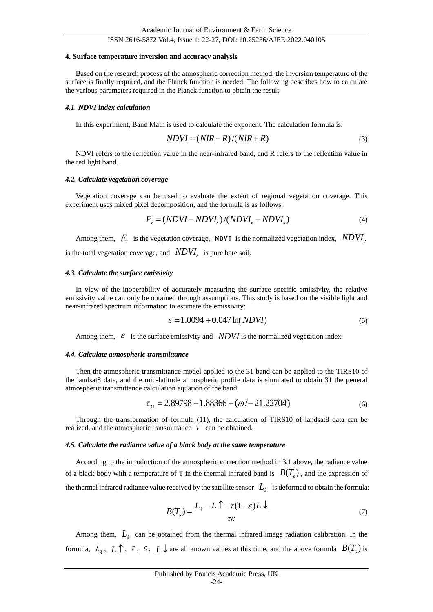## ISSN 2616-5872 Vol.4, Issue 1: 22-27, DOI: 10.25236/AJEE.2022.040105

#### **4. Surface temperature inversion and accuracy analysis**

Based on the research process of the atmospheric correction method, the inversion temperature of the surface is finally required, and the Planck function is needed. The following describes how to calculate the various parameters required in the Planck function to obtain the result.

#### *4.1. NDVI index calculation*

In this experiment, Band Math is used to calculate the exponent. The calculation formula is:

$$
NDVI = (NIR - R)/(NIR + R)
$$
\n(3)

NDVI refers to the reflection value in the near-infrared band, and R refers to the reflection value in the red light band.

#### *4.2. Calculate vegetation coverage*

Vegetation coverage can be used to evaluate the extent of regional vegetation coverage. This experiment uses mixed pixel decomposition, and the formula is as follows:

$$
F_v = (NDVI - NDVI_s)/(NDVI_v - NDVI_s)
$$
\n(4)

Among them,  $F_v$  is the vegetation coverage, **NDVI** is the normalized vegetation index,  $NDVI_v$ is the total vegetation coverage, and *NDVI<sup>s</sup>* is pure bare soil.

#### *4.3. Calculate the surface emissivity*

In view of the inoperability of accurately measuring the surface specific emissivity, the relative emissivity value can only be obtained through assumptions. This study is based on the visible light and near-infrared spectrum information to estimate the emissivity:

$$
\varepsilon = 1.0094 + 0.047 \ln(NDVI) \tag{5}
$$

Among them,  $\epsilon$  is the surface emissivity and *NDVI* is the normalized vegetation index.

#### *4.4. Calculate atmospheric transmittance*

Then the atmospheric transmittance model applied to the 31 band can be applied to the TIRS10 of the landsat8 data, and the mid-latitude atmospheric profile data is simulated to obtain 31 the general atmospheric transmittance calculation equation of the band:

$$
\tau_{31} = 2.89798 - 1.88366 - (\omega / - 21.22704)
$$
\n<sup>(6)</sup>

Through the transformation of formula (11), the calculation of TIRS10 of landsat8 data can be realized, and the atmospheric transmittance  $\tau$  can be obtained.

#### *4.5. Calculate the radiance value of a black body at the same temperature*

According to the introduction of the atmospheric correction method in 3.1 above, the radiance value of a black body with a temperature of T in the thermal infrared band is  $B(T_s)$ , and the expression of the thermal infrared radiance value received by the satellite sensor  $|L_\lambda|$  is deformed to obtain the formula:

$$
B(T_s) = \frac{L_{\lambda} - L \uparrow - \tau (1 - \varepsilon) L \downarrow}{\tau \varepsilon} \tag{7}
$$

Among them,  $L<sub>\lambda</sub>$  can be obtained from the thermal infrared image radiation calibration. In the formula,  $L_2$ ,  $L \uparrow$ ,  $\tau$ ,  $\varepsilon$ ,  $L \downarrow$  are all known values at this time, and the above formula  $B(T_s)$  is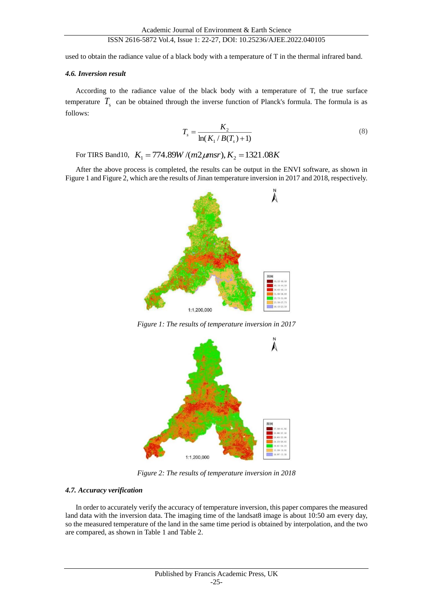## ISSN 2616-5872 Vol.4, Issue 1: 22-27, DOI: 10.25236/AJEE.2022.040105

used to obtain the radiance value of a black body with a temperature of T in the thermal infrared band.

## *4.6. Inversion result*

According to the radiance value of the black body with a temperature of T, the true surface temperature  $T_s$  can be obtained through the inverse function of Planck's formula. The formula is as follows:

$$
T_s = \frac{K_2}{\ln(K_1/B(T_s) + 1)}
$$
(8)

For TIRS Band10,  $K_1 = 774.89W/(m2 \mu m s r)$ ,  $K_2 = 1321.08K$ 

After the above process is completed, the results can be output in the ENVI software, as shown in Figure 1 and Figure 2, which are the results of Jinan temperature inversion in 2017 and 2018, respectively.



*Figure 1: The results of temperature inversion in 2017*



*Figure 2: The results of temperature inversion in 2018*

## *4.7. Accuracy verification*

In order to accurately verify the accuracy of temperature inversion, this paper compares the measured land data with the inversion data. The imaging time of the landsat8 image is about 10:50 am every day, so the measured temperature of the land in the same time period is obtained by interpolation, and the two are compared, as shown in Table 1 and Table 2.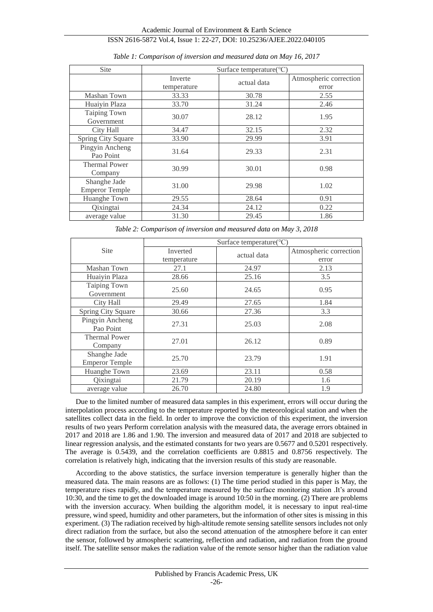| Site                                  | Surface temperature(°C) |             |                        |
|---------------------------------------|-------------------------|-------------|------------------------|
|                                       | Inverte                 | actual data | Atmospheric correction |
|                                       | temperature             |             | error                  |
| Mashan Town                           | 33.33                   | 30.78       | 2.55                   |
| Huaiyin Plaza                         | 33.70                   | 31.24       | 2.46                   |
| Taiping Town<br>Government            | 30.07                   | 28.12       | 1.95                   |
| <b>City Hall</b>                      | 34.47                   | 32.15       | 2.32                   |
| Spring City Square                    | 33.90                   | 29.99       | 3.91                   |
| Pingyin Ancheng<br>Pao Point          | 31.64                   | 29.33       | 2.31                   |
| <b>Thermal Power</b><br>Company       | 30.99                   | 30.01       | 0.98                   |
| Shanghe Jade<br><b>Emperor Temple</b> | 31.00                   | 29.98       | 1.02                   |
| Huanghe Town                          | 29.55                   | 28.64       | 0.91                   |
| Qixingtai                             | 24.34                   | 24.12       | 0.22                   |
| average value                         | 31.30                   | 29.45       | 1.86                   |

*Table 1: Comparison of inversion and measured data on May 16, 2017*

*Table 2: Comparison of inversion and measured data on May 3, 2018*

|                                       | Surface temperature(°C) |             |                        |  |
|---------------------------------------|-------------------------|-------------|------------------------|--|
| <b>Site</b>                           | Inverted                | actual data | Atmospheric correction |  |
|                                       | temperature             |             | error                  |  |
| Mashan Town                           | 27.1                    | 24.97       | 2.13                   |  |
| Huaiyin Plaza                         | 28.66                   | 25.16       | 3.5                    |  |
| Taiping Town<br>Government            | 25.60                   | 24.65       | 0.95                   |  |
| City Hall                             | 29.49                   | 27.65       | 1.84                   |  |
| <b>Spring City Square</b>             | 30.66                   | 27.36       | 3.3                    |  |
| Pingyin Ancheng<br>Pao Point          | 27.31                   | 25.03       | 2.08                   |  |
| <b>Thermal Power</b><br>Company       | 27.01                   | 26.12       | 0.89                   |  |
| Shanghe Jade<br><b>Emperor Temple</b> | 25.70                   | 23.79       | 1.91                   |  |
| Huanghe Town                          | 23.69                   | 23.11       | 0.58                   |  |
| Qixingtai                             | 21.79                   | 20.19       | 1.6                    |  |
| average value                         | 26.70                   | 24.80       | 1.9                    |  |

Due to the limited number of measured data samples in this experiment, errors will occur during the interpolation process according to the temperature reported by the meteorological station and when the satellites collect data in the field. In order to improve the conviction of this experiment, the inversion results of two years Perform correlation analysis with the measured data, the average errors obtained in 2017 and 2018 are 1.86 and 1.90. The inversion and measured data of 2017 and 2018 are subjected to linear regression analysis, and the estimated constants for two years are 0.5677 and 0.5201 respectively. The average is 0.5439, and the correlation coefficients are 0.8815 and 0.8756 respectively. The correlation is relatively high, indicating that the inversion results of this study are reasonable.

According to the above statistics, the surface inversion temperature is generally higher than the measured data. The main reasons are as follows: (1) The time period studied in this paper is May, the temperature rises rapidly, and the temperature measured by the surface monitoring station .It's around 10:30, and the time to get the downloaded image is around 10:50 in the morning. (2) There are problems with the inversion accuracy. When building the algorithm model, it is necessary to input real-time pressure, wind speed, humidity and other parameters, but the information of other sites is missing in this experiment. (3) The radiation received by high-altitude remote sensing satellite sensors includes not only direct radiation from the surface, but also the second attenuation of the atmosphere before it can enter the sensor, followed by atmospheric scattering, reflection and radiation, and radiation from the ground itself. The satellite sensor makes the radiation value of the remote sensor higher than the radiation value